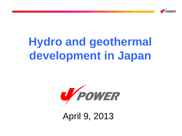

# **Hydro and geothermal development in Japan**



April 9, 2013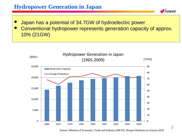## **Hydropower Generation in Japan**

- Japan has a potential of 34.7GW of hydroelectric power
- Conventional hydropower represents generation capacity of approx. 10% (21GW)



Source: Ministry of Economy, Trade and Industry (METI) *Dengen Kaihatsu no Gaiyou 2010*

**POWED**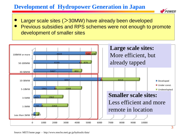# **Development of Hydropower Generation in Japan**



- Larger scale sites  $(>30$ MW) have already been developed
- Previous subsidies and RPS schemes were not enough to promote development of smaller sites

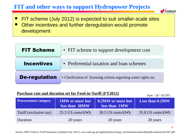# **FIT and other ways to support Hydropower Projects**



- FIT scheme (July 2012) is expected to suit smaller-scale sites
- Other incentives and further deregulation would promote development

| <b>FIT Scheme</b>    | • FIT scheme to support development cost                          |  |  |
|----------------------|-------------------------------------------------------------------|--|--|
| <b>Incentives</b>    | • Preferential taxation and loan schemes                          |  |  |
| <b>De-regulation</b> | • Clarification of licensing criteria regarding water rights etc. |  |  |

#### **Purchase rate and duration set for Feed-in-Tariff (FY2012)**

Rate :  $1\$  = 95 JPY

| <b>Procurement category</b> | <b>1MW</b> or more but<br>less than 30MW | 0.2MW or more but<br>less than 1MW | <b>Less than 0.2MW</b> |
|-----------------------------|------------------------------------------|------------------------------------|------------------------|
| Tariff (exclusive tax)      | 25.3 US cents/kWh                        | 30.5 US cents/kWh                  | 35.8 US cents/kWh      |
| Duration                    | 20 years                                 | 20 years                           | 20 years               |

4

Source: METI Feed in Tariff Summary (Updated July 2012) www.meti.go.jp/english/policy/energy\_environment/renewable/pdf/summary201207.pdf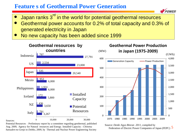#### **Feature s of Geothermal Power Generation**

- Japan ranks 3<sup>rd</sup> in the world for potential geothermal resources
- Geothermal power accounts for 0.2% of total capacity and 0.3% of generated electricity in Japan
- No new capacity has been added since 1999



Sources:

Potential Resources : Preliminary report by a committee regarding geothermal, published Aug. 2009, Agency for Natural resources and Energy. Installed Capacity *: Chinetsu hatsuden-no Genjo to Dohko*, 2009, by Thermal and Nuclear Power Engineering Society

Federation of Electric Power Companies of Japan (FEPC)  $\overline{5}$ Source: *Denki Jigyo Binran 2011,* compiled by



0

500

1,000

1,500

2,000

2,500

3,000

3,500

4,000

(GWh)